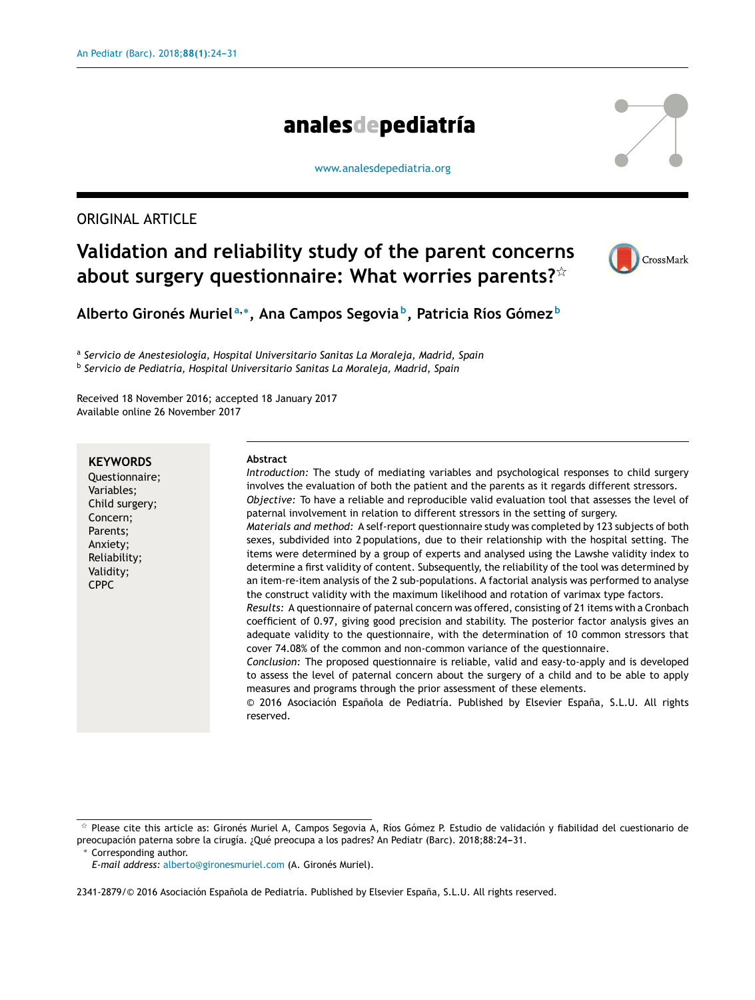# analesdepediatría

#### [www.analesdepediatria.org](http://www.analesdepediatria.org)

# ORIGINAL ARTICLE

# **Validation and reliability study of the parent concerns about surgery questionnaire: What worries parents?**-



**Alberto Gironés Muriel <sup>a</sup>**,<sup>∗</sup> **, Ana Campos Segovia <sup>b</sup> , Patricia Ríos Gómez <sup>b</sup>**

a *Servicio de Anestesiología, Hospital Universitario Sanitas La Moraleja, Madrid, Spain* b *Servicio de Pediatría, Hospital Universitario Sanitas La Moraleja, Madrid, Spain*

Received 18 November 2016; accepted 18 January 2017 Available online 26 November 2017

## **KEYWORDS**

Questionnaire; Variables; Child surgery; Concern; Parents; Anxiety; Reliability; Validity; CPPC

#### **Abstract**

*Introduction:* The study of mediating variables and psychological responses to child surgery involves the evaluation of both the patient and the parents as it regards different stressors. *Objective:* To have a reliable and reproducible valid evaluation tool that assesses the level of paternal involvement in relation to different stressors in the setting of surgery. *Materials and method:* A self-report questionnaire study was completed by 123 subjects of both sexes, subdivided into 2 populations, due to their relationship with the hospital setting. The items were determined by a group of experts and analysed using the Lawshe validity index to determine a first validity of content. Subsequently, the reliability of the tool was determined by an item-re-item analysis of the 2 sub-populations. A factorial analysis was performed to analyse the construct validity with the maximum likelihood and rotation of varimax type factors. *Results:* A questionnaire of paternal concern was offered, consisting of 21 items with a Cronbach coefficient of 0.97, giving good precision and stability. The posterior factor analysis gives an adequate validity to the questionnaire, with the determination of 10 common stressors that

cover 74.08% of the common and non-common variance of the questionnaire. *Conclusion:* The proposed questionnaire is reliable, valid and easy-to-apply and is developed to assess the level of paternal concern about the surgery of a child and to be able to apply measures and programs through the prior assessment of these elements.

 $© 2016 Asociación Española de Pediatria. Published by Elsevier España, S.L.U. All rights$ reserved.

Corresponding author.

<sup>-</sup> Please cite this article as: Gironés Muriel A, Campos Segovia A, Ríos Gómez P. Estudio de validación y fiabilidad del cuestionario de preocupación paterna sobre la cirugía. ¿Qué preocupa a los padres? An Pediatr (Barc). 2018;88:24-31.

*E-mail address:* [alberto@gironesmuriel.com](mailto:alberto@gironesmuriel.com) (A. Gironés Muriel).

<sup>2341-2879/© 2016</sup> Asociación Española de Pediatría. Published by Elsevier España, S.L.U. All rights reserved.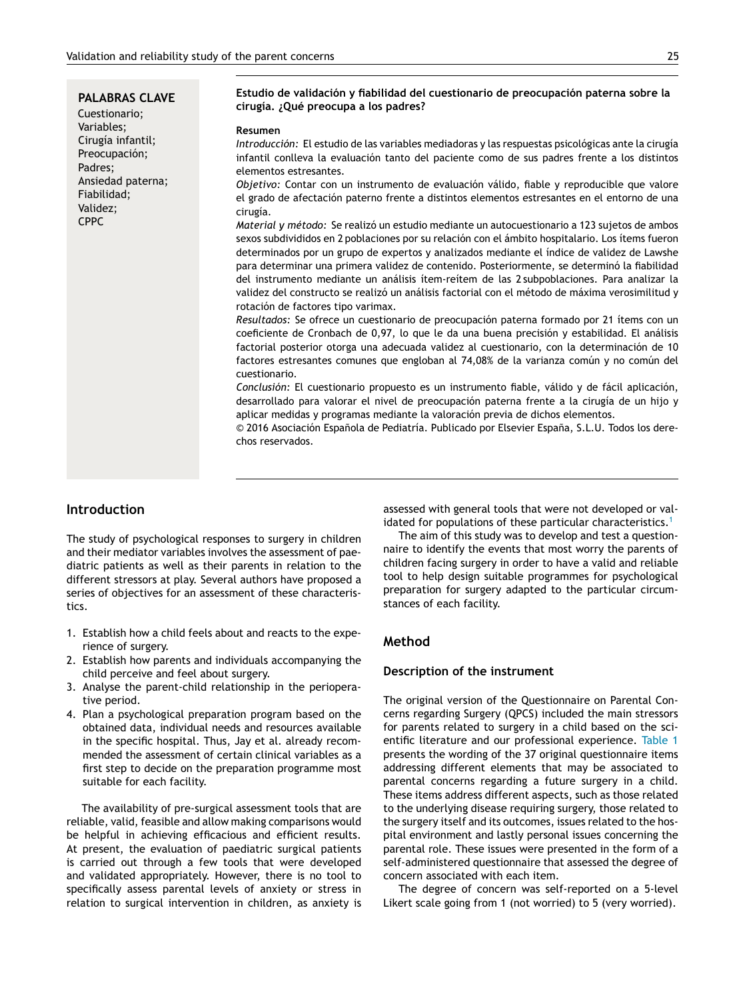#### **PALABRAS CLAVE**

Cuestionario; Variables; Cirugía infantil; Preocupación; Padres; Ansiedad paterna; Fiabilidad; Validez; CPPC

## **Estudio de validación y fiabilidad del cuestionario de preocupación paterna sobre la cirugía. ¿Qué preocupa a los padres?**

#### **Resumen**

*Introducción:* El estudio de las variables mediadoras y las respuestas psicológicas ante la cirugía infantil conlleva la evaluación tanto del paciente como de sus padres frente a los distintos elementos estresantes.

*Objetivo:* Contar con un instrumento de evaluación válido, fiable y reproducible que valore el grado de afectación paterno frente a distintos elementos estresantes en el entorno de una cirugía.

*Material y método:* Se realizó un estudio mediante un autocuestionario a 123 sujetos de ambos sexos subdivididos en 2 poblaciones por su relación con el ámbito hospitalario. Los ítems fueron determinados por un grupo de expertos y analizados mediante el índice de validez de Lawshe para determinar una primera validez de contenido. Posteriormente, se determinó la fiabilidad del instrumento mediante un análisis ítem-reítem de las 2 subpoblaciones. Para analizar la validez del constructo se realizó un análisis factorial con el método de máxima verosimilitud y rotación de factores tipo varimax.

*Resultados:* Se ofrece un cuestionario de preocupación paterna formado por 21 ítems con un coeficiente de Cronbach de 0,97, lo que le da una buena precisión y estabilidad. El análisis factorial posterior otorga una adecuada validez al cuestionario, con la determinación de 10 factores estresantes comunes que engloban al 74,08% de la varianza común y no común del cuestionario.

*Conclusión:* El cuestionario propuesto es un instrumento fiable, válido y de fácil aplicación, desarrollado para valorar el nivel de preocupación paterna frente a la cirugía de un hijo y aplicar medidas y programas mediante la valoración previa de dichos elementos.

© 2016 Asociación Española de Pediatría. Publicado por Elsevier España, S.L.U. Todos los derechos reservados.

## **Introduction**

The study of psychological responses to surgery in children and their mediator variables involves the assessment of paediatric patients as well as their parents in relation to the different stressors at play. Several authors have proposed a series of objectives for an assessment of these characteristics.

- 1. Establish how a child feels about and reacts to the experience of surgery.
- 2. Establish how parents and individuals accompanying the child perceive and feel about surgery.
- 3. Analyse the parent-child relationship in the perioperative period.
- 4. Plan a psychological preparation program based on the obtained data, individual needs and resources available in the specific hospital. Thus, Jay et al. already recommended the assessment of certain clinical variables as a first step to decide on the preparation programme most suitable for each facility.

The availability of pre-surgical assessment tools that are reliable, valid, feasible and allow making comparisons would be helpful in achieving efficacious and efficient results. At present, the evaluation of paediatric surgical patients is carried out through a few tools that were developed and validated appropriately. However, there is no tool to specifically assess parental levels of anxiety or stress in relation to surgical intervention in children, as anxiety is

assessed with general tools that were not developed or val-idated for populations of these particular characteristics.<sup>[1](#page-7-0)</sup>

The aim of this study was to develop and test a questionnaire to identify the events that most worry the parents of children facing surgery in order to have a valid and reliable tool to help design suitable programmes for psychological preparation for surgery adapted to the particular circumstances of each facility.

# **Method**

### **Description of the instrument**

The original version of the Questionnaire on Parental Concerns regarding Surgery (QPCS) included the main stressors for parents related to surgery in a child based on the scientific literature and our professional experience. [Table](#page-2-0) 1 presents the wording of the 37 original questionnaire items addressing different elements that may be associated to parental concerns regarding a future surgery in a child. These items address different aspects, such as those related to the underlying disease requiring surgery, those related to the surgery itself and its outcomes, issues related to the hospital environment and lastly personal issues concerning the parental role. These issues were presented in the form of a self-administered questionnaire that assessed the degree of concern associated with each item.

The degree of concern was self-reported on a 5-level Likert scale going from 1 (not worried) to 5 (very worried).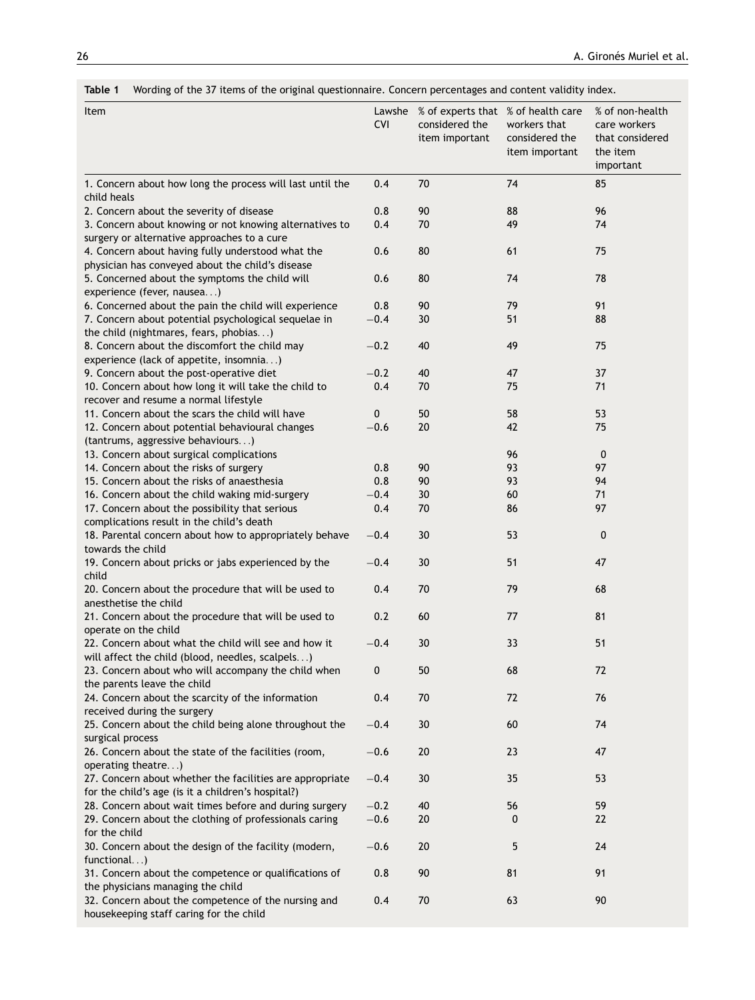<span id="page-2-0"></span>**Table 1** Wording of the 37 items of the original questionnaire. Concern percentages and content validity index.

| Item                                                                                                           | <b>CVI</b> | Lawshe % of experts that % of health care<br>considered the<br>item important | workers that<br>considered the<br>item important | % of non-health<br>care workers<br>that considered<br>the item<br>important |
|----------------------------------------------------------------------------------------------------------------|------------|-------------------------------------------------------------------------------|--------------------------------------------------|-----------------------------------------------------------------------------|
| 1. Concern about how long the process will last until the<br>child heals                                       | 0.4        | 70                                                                            | 74                                               | 85                                                                          |
| 2. Concern about the severity of disease                                                                       | 0.8        | 90                                                                            | 88                                               | 96                                                                          |
| 3. Concern about knowing or not knowing alternatives to<br>surgery or alternative approaches to a cure         | 0.4        | 70                                                                            | 49                                               | 74                                                                          |
| 4. Concern about having fully understood what the<br>physician has conveyed about the child's disease          | 0.6        | 80                                                                            | 61                                               | 75                                                                          |
| 5. Concerned about the symptoms the child will<br>experience (fever, nausea)                                   | 0.6        | 80                                                                            | 74                                               | 78                                                                          |
| 6. Concerned about the pain the child will experience                                                          | 0.8        | 90                                                                            | 79                                               | 91                                                                          |
| 7. Concern about potential psychological sequelae in<br>the child (nightmares, fears, phobias)                 | $-0.4$     | 30                                                                            | 51                                               | 88                                                                          |
| 8. Concern about the discomfort the child may<br>experience (lack of appetite, insomnia)                       | $-0.2$     | 40                                                                            | 49                                               | 75                                                                          |
| 9. Concern about the post-operative diet                                                                       | $-0.2$     | 40                                                                            | 47                                               | 37                                                                          |
| 10. Concern about how long it will take the child to<br>recover and resume a normal lifestyle                  | 0.4        | 70                                                                            | 75                                               | 71                                                                          |
| 11. Concern about the scars the child will have                                                                | 0          | 50                                                                            | 58                                               | 53                                                                          |
| 12. Concern about potential behavioural changes<br>(tantrums, aggressive behaviours)                           | $-0.6$     | 20                                                                            | 42                                               | 75                                                                          |
| 13. Concern about surgical complications                                                                       |            |                                                                               | 96                                               | 0                                                                           |
| 14. Concern about the risks of surgery                                                                         | 0.8        | 90                                                                            | 93                                               | 97                                                                          |
| 15. Concern about the risks of anaesthesia                                                                     | 0.8        | 90                                                                            | 93                                               | 94                                                                          |
| 16. Concern about the child waking mid-surgery                                                                 | $-0.4$     | 30                                                                            | 60                                               | 71                                                                          |
| 17. Concern about the possibility that serious<br>complications result in the child's death                    | 0.4        | 70                                                                            | 86                                               | 97                                                                          |
| 18. Parental concern about how to appropriately behave<br>towards the child                                    | $-0.4$     | 30                                                                            | 53                                               | $\mathbf 0$                                                                 |
| 19. Concern about pricks or jabs experienced by the<br>child                                                   | $-0.4$     | 30                                                                            | 51                                               | 47                                                                          |
| 20. Concern about the procedure that will be used to<br>anesthetise the child                                  | 0.4        | 70                                                                            | 79                                               | 68                                                                          |
| 21. Concern about the procedure that will be used to<br>operate on the child                                   | 0.2        | 60                                                                            | 77                                               | 81                                                                          |
| 22. Concern about what the child will see and how it<br>will affect the child (blood, needles, scalpels)       | $-0.4$     | 30                                                                            | 33                                               | 51                                                                          |
| 23. Concern about who will accompany the child when<br>the parents leave the child                             | 0          | 50                                                                            | 68                                               | 72                                                                          |
| 24. Concern about the scarcity of the information<br>received during the surgery                               | 0.4        | 70                                                                            | 72                                               | 76                                                                          |
| 25. Concern about the child being alone throughout the<br>surgical process                                     | $-0.4$     | 30                                                                            | 60                                               | 74                                                                          |
| 26. Concern about the state of the facilities (room,<br>operating theatre)                                     | $-0.6$     | 20                                                                            | 23                                               | 47                                                                          |
| 27. Concern about whether the facilities are appropriate<br>for the child's age (is it a children's hospital?) | $-0.4$     | 30                                                                            | 35                                               | 53                                                                          |
| 28. Concern about wait times before and during surgery                                                         | $-0.2$     | 40                                                                            | 56                                               | 59                                                                          |
| 29. Concern about the clothing of professionals caring<br>for the child                                        | $-0.6$     | 20                                                                            | 0                                                | 22                                                                          |
| 30. Concern about the design of the facility (modern,<br>functional)                                           | $-0.6$     | 20                                                                            | 5                                                | 24                                                                          |
| 31. Concern about the competence or qualifications of<br>the physicians managing the child                     | 0.8        | 90                                                                            | 81                                               | 91                                                                          |
| 32. Concern about the competence of the nursing and<br>housekeeping staff caring for the child                 | 0.4        | 70                                                                            | 63                                               | 90                                                                          |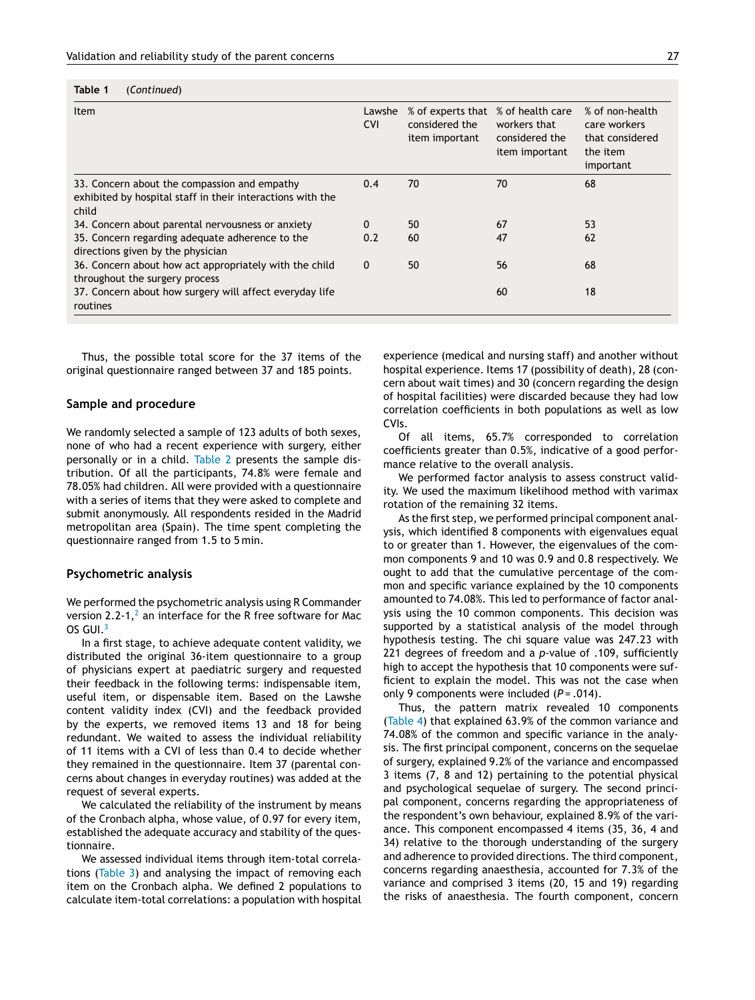| Table 1<br>(Continued)                                                                                              |                      |                                                       |                                                                      |                                                                             |
|---------------------------------------------------------------------------------------------------------------------|----------------------|-------------------------------------------------------|----------------------------------------------------------------------|-----------------------------------------------------------------------------|
| <b>Item</b>                                                                                                         | Lawshe<br><b>CVI</b> | % of experts that<br>considered the<br>item important | % of health care<br>workers that<br>considered the<br>item important | % of non-health<br>care workers<br>that considered<br>the item<br>important |
| 33. Concern about the compassion and empathy<br>exhibited by hospital staff in their interactions with the<br>child | 0.4                  | 70                                                    | 70                                                                   | 68                                                                          |
| 34. Concern about parental nervousness or anxiety                                                                   | 0                    | 50                                                    | 67                                                                   | 53                                                                          |
| 35. Concern regarding adequate adherence to the<br>directions given by the physician                                | 0.2                  | 60                                                    | 47                                                                   | 62                                                                          |
| 36. Concern about how act appropriately with the child<br>throughout the surgery process                            | 0                    | 50                                                    | 56                                                                   | 68                                                                          |
| 37. Concern about how surgery will affect everyday life<br>routines                                                 |                      |                                                       | 60                                                                   | 18                                                                          |

Thus, the possible total score for the 37 items of the original questionnaire ranged between 37 and 185 points.

## **Sample and procedure**

We randomly selected a sample of 123 adults of both sexes, none of who had a recent experience with surgery, either personally or in a child. [Table](#page-4-0) 2 presents the sample distribution. Of all the participants, 74.8% were female and 78.05% had children. All were provided with a questionnaire with a series of items that they were asked to complete and submit anonymously. All respondents resided in the Madrid metropolitan area (Spain). The time spent completing the questionnaire ranged from 1.5 to 5 min.

#### **Psychometric analysis**

We performed the psychometric analysis using R Commander version [2](#page-7-0).2-1, $^2$  an interface for the R free software for Mac OS GUI.[3](#page-7-0)

In a first stage, to achieve adequate content validity, we distributed the original 36-item questionnaire to a group of physicians expert at paediatric surgery and requested their feedback in the following terms: indispensable item, useful item, or dispensable item. Based on the Lawshe content validity index (CVI) and the feedback provided by the experts, we removed items 13 and 18 for being redundant. We waited to assess the individual reliability of 11 items with a CVI of less than 0.4 to decide whether they remained in the questionnaire. Item 37 (parental concerns about changes in everyday routines) was added at the request of several experts.

We calculated the reliability of the instrument by means of the Cronbach alpha, whose value, of 0.97 for every item, established the adequate accuracy and stability of the questionnaire.

We assessed individual items through item-total correlations ([Table](#page-5-0) 3) and analysing the impact of removing each item on the Cronbach alpha. We defined 2 populations to calculate item-total correlations: a population with hospital experience (medical and nursing staff) and another without hospital experience. Items 17 (possibility of death), 28 (concern about wait times) and 30 (concern regarding the design of hospital facilities) were discarded because they had low correlation coefficients in both populations as well as low CVIs.

Of all items, 65.7% corresponded to correlation coefficients greater than 0.5%, indicative of a good performance relative to the overall analysis.

We performed factor analysis to assess construct validity. We used the maximum likelihood method with varimax rotation of the remaining 32 items.

As the first step, we performed principal component analysis, which identified 8 components with eigenvalues equal to or greater than 1. However, the eigenvalues of the common components 9 and 10 was 0.9 and 0.8 respectively. We ought to add that the cumulative percentage of the common and specific variance explained by the 10 components amounted to 74.08%. This led to performance of factor analysis using the 10 common components. This decision was supported by a statistical analysis of the model through hypothesis testing. The chi square value was 247.23 with 221 degrees of freedom and a *p*-value of .109, sufficiently high to accept the hypothesis that 10 components were sufficient to explain the model. This was not the case when only 9 components were included (*P* = .014).

Thus, the pattern matrix revealed 10 components ([Table](#page-6-0) 4) that explained 63.9% of the common variance and 74.08% of the common and specific variance in the analysis. The first principal component, concerns on the sequelae of surgery, explained 9.2% of the variance and encompassed 3 items (7, 8 and 12) pertaining to the potential physical and psychological sequelae of surgery. The second principal component, concerns regarding the appropriateness of the respondent's own behaviour, explained 8.9% of the variance. This component encompassed 4 items (35, 36, 4 and 34) relative to the thorough understanding of the surgery and adherence to provided directions. The third component, concerns regarding anaesthesia, accounted for 7.3% of the variance and comprised 3 items (20, 15 and 19) regarding the risks of anaesthesia. The fourth component, concern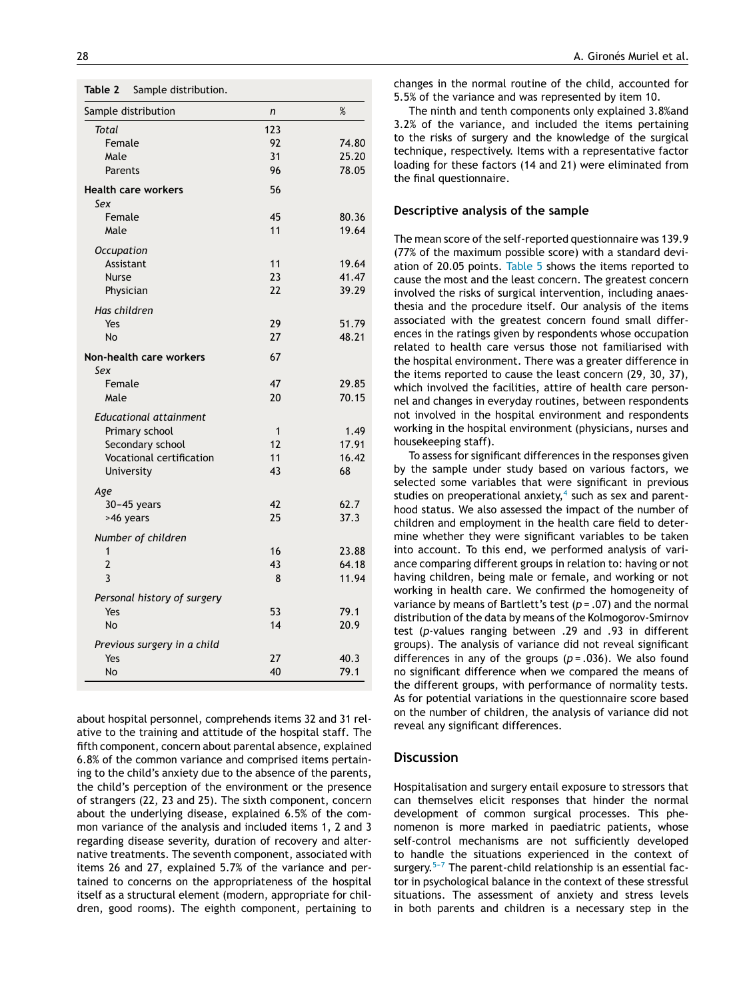<span id="page-4-0"></span>**Table 2** Sample distribution.

| Sample distribution               | n            | %     |
|-----------------------------------|--------------|-------|
| Total                             | 123          |       |
| Female                            | 92           | 74.80 |
| Male                              | 31           | 25.20 |
| Parents                           | 96           | 78.05 |
| <b>Health care workers</b><br>Sex | 56           |       |
| Female                            | 45           | 80.36 |
| Male                              | 11           | 19.64 |
| Occupation                        |              |       |
| Assistant                         | 11           | 19.64 |
| <b>Nurse</b>                      | 23           | 41.47 |
| Physician                         | 22           | 39.29 |
| Has children                      |              |       |
| Yes                               | 29           | 51.79 |
| <b>No</b>                         | 27           | 48.21 |
| Non-health care workers<br>Sex    | 67           |       |
| Female                            | 47           | 29.85 |
| Male                              | 20           | 70.15 |
| <b>Educational attainment</b>     |              |       |
| Primary school                    | $\mathbf{1}$ | 1.49  |
| Secondary school                  | 12           | 17.91 |
| Vocational certification          | 11           | 16.42 |
| University                        | 43           | 68    |
| Age                               |              |       |
| $30 - 45$ years                   | 42           | 62.7  |
| >46 years                         | 25           | 37.3  |
| Number of children                |              |       |
| 1                                 | 16           | 23.88 |
| $\overline{2}$                    | 43           | 64.18 |
| $\overline{3}$                    | 8            | 11.94 |
| Personal history of surgery       |              |       |
| Yes                               | 53           | 79.1  |
| No                                | 14           | 20.9  |
| Previous surgery in a child       |              |       |
| Yes                               | 27           | 40.3  |
| No                                | 40           | 79.1  |

about hospital personnel, comprehends items 32 and 31 relative to the training and attitude of the hospital staff. The fifth component, concern about parental absence, explained 6.8% of the common variance and comprised items pertaining to the child's anxiety due to the absence of the parents, the child's perception of the environment or the presence of strangers (22, 23 and 25). The sixth component, concern about the underlying disease, explained 6.5% of the common variance of the analysis and included items 1, 2 and 3 regarding disease severity, duration of recovery and alternative treatments. The seventh component, associated with items 26 and 27, explained 5.7% of the variance and pertained to concerns on the appropriateness of the hospital itself as a structural element (modern, appropriate for children, good rooms). The eighth component, pertaining to changes in the normal routine of the child, accounted for 5.5% of the variance and was represented by item 10.

The ninth and tenth components only explained 3.8%and 3.2% of the variance, and included the items pertaining to the risks of surgery and the knowledge of the surgical technique, respectively. Items with a representative factor loading for these factors (14 and 21) were eliminated from the final questionnaire.

### **Descriptive analysis of the sample**

The mean score of the self-reported questionnaire was 139.9 (77% of the maximum possible score) with a standard deviation of 20.05 points. [Table](#page-7-0) 5 shows the items reported to cause the most and the least concern. The greatest concern involved the risks of surgical intervention, including anaesthesia and the procedure itself. Our analysis of the items associated with the greatest concern found small differences in the ratings given by respondents whose occupation related to health care versus those not familiarised with the hospital environment. There was a greater difference in the items reported to cause the least concern (29, 30, 37), which involved the facilities, attire of health care personnel and changes in everyday routines, between respondents not involved in the hospital environment and respondents working in the hospital environment (physicians, nurses and housekeeping staff).

To assess for significant differences in the responses given by the sample under study based on various factors, we selected some variables that were significant in previous studies on preoperational anxiety, $4$  such as sex and parenthood status. We also assessed the impact of the number of children and employment in the health care field to determine whether they were significant variables to be taken into account. To this end, we performed analysis of variance comparing different groups in relation to: having or not having children, being male or female, and working or not working in health care. We confirmed the homogeneity of variance by means of Bartlett's test (*p* = .07) and the normal distribution of the data by means of the Kolmogorov-Smirnov test (*p*-values ranging between .29 and .93 in different groups). The analysis of variance did not reveal significant differences in any of the groups (*p* = .036). We also found no significant difference when we compared the means of the different groups, with performance of normality tests. As for potential variations in the questionnaire score based on the number of children, the analysis of variance did not reveal any significant differences.

## **Discussion**

Hospitalisation and surgery entail exposure to stressors that can themselves elicit responses that hinder the normal development of common surgical processes. This phenomenon is more marked in paediatric patients, whose self-control mechanisms are not sufficiently developed to handle the situations experienced in the context of surgery. $5-7$  The parent-child relationship is an essential factor in psychological balance in the context of these stressful situations. The assessment of anxiety and stress levels in both parents and children is a necessary step in the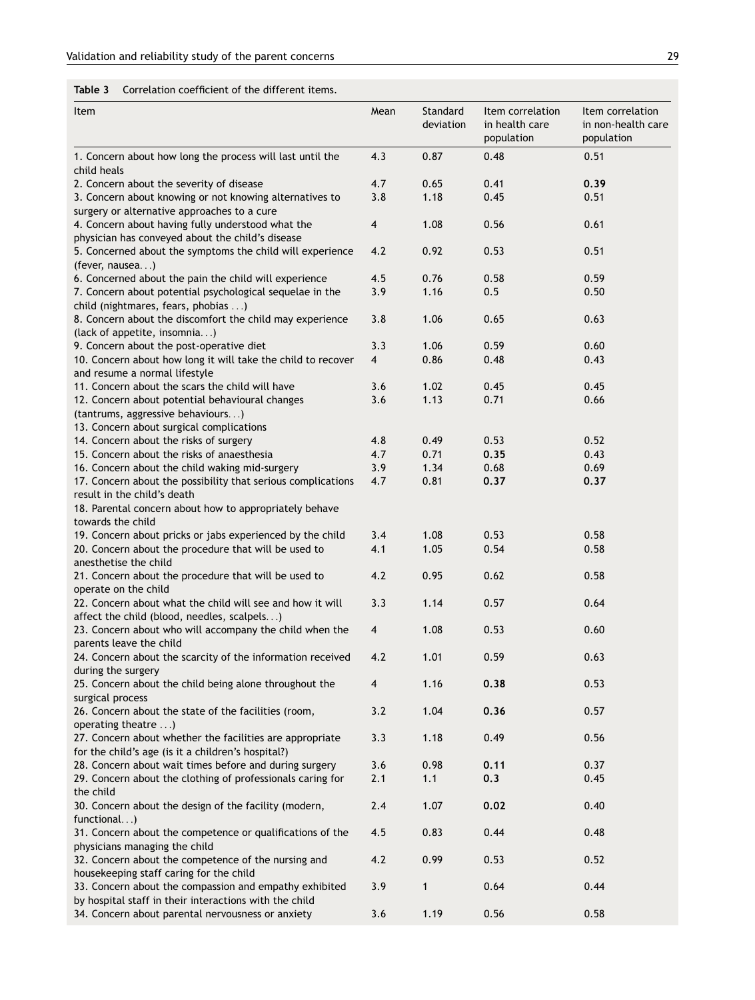## <span id="page-5-0"></span>**Table 3** Correlation coefficient of the different items.

| Item                                                                                                     | Mean                    | Standard<br>deviation | Item correlation<br>in health care<br>population | Item correlation<br>in non-health care<br>population |
|----------------------------------------------------------------------------------------------------------|-------------------------|-----------------------|--------------------------------------------------|------------------------------------------------------|
| 1. Concern about how long the process will last until the<br>child heals                                 | 4.3                     | 0.87                  | 0.48                                             | 0.51                                                 |
| 2. Concern about the severity of disease                                                                 | 4.7                     | 0.65                  | 0.41                                             | 0.39                                                 |
| 3. Concern about knowing or not knowing alternatives to                                                  | 3.8                     | 1.18                  | 0.45                                             | 0.51                                                 |
| surgery or alternative approaches to a cure                                                              |                         |                       |                                                  |                                                      |
| 4. Concern about having fully understood what the<br>physician has conveyed about the child's disease    | $\overline{\mathbf{4}}$ | 1.08                  | 0.56                                             | 0.61                                                 |
| 5. Concerned about the symptoms the child will experience<br>(fever, nausea)                             | 4.2                     | 0.92                  | 0.53                                             | 0.51                                                 |
| 6. Concerned about the pain the child will experience                                                    | 4.5                     | 0.76                  | 0.58                                             | 0.59                                                 |
| 7. Concern about potential psychological sequelae in the                                                 | 3.9                     | 1.16                  | 0.5                                              | 0.50                                                 |
| child (nightmares, fears, phobias )                                                                      |                         |                       |                                                  |                                                      |
| 8. Concern about the discomfort the child may experience                                                 | 3.8                     | 1.06                  | 0.65                                             | 0.63                                                 |
| (lack of appetite, insomnia)                                                                             |                         |                       |                                                  |                                                      |
| 9. Concern about the post-operative diet                                                                 | 3.3                     | 1.06                  | 0.59                                             | 0.60                                                 |
| 10. Concern about how long it will take the child to recover<br>and resume a normal lifestyle            | 4                       | 0.86                  | 0.48                                             | 0.43                                                 |
| 11. Concern about the scars the child will have                                                          | 3.6                     | 1.02                  | 0.45                                             | 0.45                                                 |
| 12. Concern about potential behavioural changes                                                          | 3.6                     | 1.13                  | 0.71                                             | 0.66                                                 |
| (tantrums, aggressive behaviours)                                                                        |                         |                       |                                                  |                                                      |
| 13. Concern about surgical complications                                                                 |                         |                       |                                                  |                                                      |
| 14. Concern about the risks of surgery                                                                   | 4.8                     | 0.49                  | 0.53                                             | 0.52                                                 |
| 15. Concern about the risks of anaesthesia                                                               | 4.7                     | 0.71                  | 0.35                                             | 0.43                                                 |
| 16. Concern about the child waking mid-surgery                                                           | 3.9                     | 1.34                  | 0.68                                             | 0.69                                                 |
| 17. Concern about the possibility that serious complications                                             | 4.7                     | 0.81                  | 0.37                                             | 0.37                                                 |
| result in the child's death<br>18. Parental concern about how to appropriately behave                    |                         |                       |                                                  |                                                      |
| towards the child                                                                                        |                         |                       |                                                  |                                                      |
|                                                                                                          | 3.4                     | 1.08                  | 0.53                                             | 0.58                                                 |
| 19. Concern about pricks or jabs experienced by the child                                                | 4.1                     | 1.05                  | 0.54                                             | 0.58                                                 |
| 20. Concern about the procedure that will be used to                                                     |                         |                       |                                                  |                                                      |
| anesthetise the child                                                                                    |                         |                       |                                                  |                                                      |
| 21. Concern about the procedure that will be used to                                                     | 4.2                     | 0.95                  | 0.62                                             | 0.58                                                 |
| operate on the child                                                                                     |                         |                       |                                                  |                                                      |
| 22. Concern about what the child will see and how it will<br>affect the child (blood, needles, scalpels) | 3.3                     | 1.14                  | 0.57                                             | 0.64                                                 |
| 23. Concern about who will accompany the child when the                                                  | 4                       | 1.08                  | 0.53                                             | 0.60                                                 |
| parents leave the child                                                                                  |                         |                       |                                                  |                                                      |
| 24. Concern about the scarcity of the information received<br>during the surgery                         | 4.2                     | 1.01                  | 0.59                                             | 0.63                                                 |
| 25. Concern about the child being alone throughout the                                                   | $\overline{4}$          | 1.16                  | 0.38                                             | 0.53                                                 |
| surgical process                                                                                         |                         |                       |                                                  |                                                      |
| 26. Concern about the state of the facilities (room,                                                     | 3.2                     | 1.04                  | 0.36                                             | 0.57                                                 |
| operating theatre )                                                                                      |                         |                       |                                                  |                                                      |
| 27. Concern about whether the facilities are appropriate                                                 | 3.3                     | 1.18                  | 0.49                                             | 0.56                                                 |
| for the child's age (is it a children's hospital?)                                                       |                         |                       |                                                  |                                                      |
| 28. Concern about wait times before and during surgery                                                   | 3.6                     | 0.98                  | 0.11                                             | 0.37                                                 |
| 29. Concern about the clothing of professionals caring for                                               | 2.1                     | 1.1                   | 0.3                                              | 0.45                                                 |
| the child                                                                                                |                         |                       |                                                  |                                                      |
| 30. Concern about the design of the facility (modern,                                                    | 2.4                     | 1.07                  | 0.02                                             | 0.40                                                 |
| functional)                                                                                              |                         |                       |                                                  |                                                      |
| 31. Concern about the competence or qualifications of the                                                | 4.5                     | 0.83                  | 0.44                                             | 0.48                                                 |
| physicians managing the child                                                                            |                         |                       |                                                  |                                                      |
| 32. Concern about the competence of the nursing and                                                      | 4.2                     | 0.99                  | 0.53                                             | 0.52                                                 |
| housekeeping staff caring for the child                                                                  |                         |                       |                                                  |                                                      |
| 33. Concern about the compassion and empathy exhibited                                                   | 3.9                     | 1                     | 0.64                                             | 0.44                                                 |
| by hospital staff in their interactions with the child                                                   |                         |                       |                                                  |                                                      |
| 34. Concern about parental nervousness or anxiety                                                        | 3.6                     | 1.19                  | 0.56                                             | 0.58                                                 |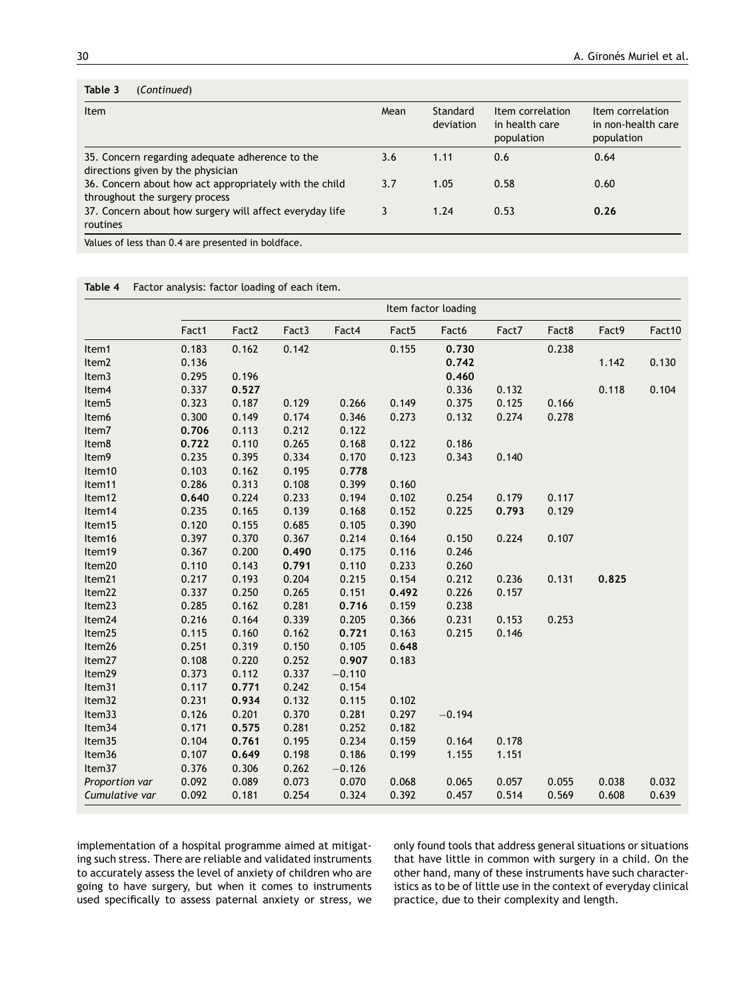## <span id="page-6-0"></span>**Table 3** (*Continued*)

| Item                                                                                     | Mean | Standard<br>deviation | Item correlation<br>in health care<br>population | Item correlation<br>in non-health care<br>population |
|------------------------------------------------------------------------------------------|------|-----------------------|--------------------------------------------------|------------------------------------------------------|
| 35. Concern regarding adequate adherence to the<br>directions given by the physician     | 3.6  | 1.11                  | 0.6                                              | 0.64                                                 |
| 36. Concern about how act appropriately with the child<br>throughout the surgery process | 3.7  | 1.05                  | 0.58                                             | 0.60                                                 |
| 37. Concern about how surgery will affect everyday life<br>routines                      |      | 1.24                  | 0.53                                             | 0.26                                                 |
| Values of less than 0.4 are presented in boldface.                                       |      |                       |                                                  |                                                      |

**Table 4** Factor analysis: factor loading of each item.

|                   |       |                   |       |          |                   | Item factor loading |       |       |       |        |
|-------------------|-------|-------------------|-------|----------|-------------------|---------------------|-------|-------|-------|--------|
|                   | Fact1 | Fact <sub>2</sub> | Fact3 | Fact4    | Fact <sub>5</sub> | Fact6               | Fact7 | Fact8 | Fact9 | Fact10 |
| Item1             | 0.183 | 0.162             | 0.142 |          | 0.155             | 0.730               |       | 0.238 |       |        |
| Item2             | 0.136 |                   |       |          |                   | 0.742               |       |       | 1.142 | 0.130  |
| Item <sub>3</sub> | 0.295 | 0.196             |       |          |                   | 0.460               |       |       |       |        |
| Item4             | 0.337 | 0.527             |       |          |                   | 0.336               | 0.132 |       | 0.118 | 0.104  |
| Item5             | 0.323 | 0.187             | 0.129 | 0.266    | 0.149             | 0.375               | 0.125 | 0.166 |       |        |
| Item6             | 0.300 | 0.149             | 0.174 | 0.346    | 0.273             | 0.132               | 0.274 | 0.278 |       |        |
| Item7             | 0.706 | 0.113             | 0.212 | 0.122    |                   |                     |       |       |       |        |
| Item8             | 0.722 | 0.110             | 0.265 | 0.168    | 0.122             | 0.186               |       |       |       |        |
| Item9             | 0.235 | 0.395             | 0.334 | 0.170    | 0.123             | 0.343               | 0.140 |       |       |        |
| Item10            | 0.103 | 0.162             | 0.195 | 0.778    |                   |                     |       |       |       |        |
| Item11            | 0.286 | 0.313             | 0.108 | 0.399    | 0.160             |                     |       |       |       |        |
| Item12            | 0.640 | 0.224             | 0.233 | 0.194    | 0.102             | 0.254               | 0.179 | 0.117 |       |        |
| Item14            | 0.235 | 0.165             | 0.139 | 0.168    | 0.152             | 0.225               | 0.793 | 0.129 |       |        |
| Item15            | 0.120 | 0.155             | 0.685 | 0.105    | 0.390             |                     |       |       |       |        |
| Item16            | 0.397 | 0.370             | 0.367 | 0.214    | 0.164             | 0.150               | 0.224 | 0.107 |       |        |
| Item19            | 0.367 | 0.200             | 0.490 | 0.175    | 0.116             | 0.246               |       |       |       |        |
| Item20            | 0.110 | 0.143             | 0.791 | 0.110    | 0.233             | 0.260               |       |       |       |        |
| Item21            | 0.217 | 0.193             | 0.204 | 0.215    | 0.154             | 0.212               | 0.236 | 0.131 | 0.825 |        |
| Item22            | 0.337 | 0.250             | 0.265 | 0.151    | 0.492             | 0.226               | 0.157 |       |       |        |
| Item23            | 0.285 | 0.162             | 0.281 | 0.716    | 0.159             | 0.238               |       |       |       |        |
| Item24            | 0.216 | 0.164             | 0.339 | 0.205    | 0.366             | 0.231               | 0.153 | 0.253 |       |        |
| Item25            | 0.115 | 0.160             | 0.162 | 0.721    | 0.163             | 0.215               | 0.146 |       |       |        |
| Item26            | 0.251 | 0.319             | 0.150 | 0.105    | 0.648             |                     |       |       |       |        |
| Item27            | 0.108 | 0.220             | 0.252 | 0.907    | 0.183             |                     |       |       |       |        |
| Item29            | 0.373 | 0.112             | 0.337 | $-0.110$ |                   |                     |       |       |       |        |
| Item31            | 0.117 | 0.771             | 0.242 | 0.154    |                   |                     |       |       |       |        |
| Item32            | 0.231 | 0.934             | 0.132 | 0.115    | 0.102             |                     |       |       |       |        |
| Item33            | 0.126 | 0.201             | 0.370 | 0.281    | 0.297             | $-0.194$            |       |       |       |        |
| Item34            | 0.171 | 0.575             | 0.281 | 0.252    | 0.182             |                     |       |       |       |        |
| Item35            | 0.104 | 0.761             | 0.195 | 0.234    | 0.159             | 0.164               | 0.178 |       |       |        |
| Item36            | 0.107 | 0.649             | 0.198 | 0.186    | 0.199             | 1.155               | 1.151 |       |       |        |
| Item37            | 0.376 | 0.306             | 0.262 | $-0.126$ |                   |                     |       |       |       |        |
| Proportion var    | 0.092 | 0.089             | 0.073 | 0.070    | 0.068             | 0.065               | 0.057 | 0.055 | 0.038 | 0.032  |
| Cumulative var    | 0.092 | 0.181             | 0.254 | 0.324    | 0.392             | 0.457               | 0.514 | 0.569 | 0.608 | 0.639  |

implementation of a hospital programme aimed at mitigating such stress. There are reliable and validated instruments to accurately assess the level of anxiety of children who are going to have surgery, but when it comes to instruments used specifically to assess paternal anxiety or stress, we only found tools that address general situations or situations that have little in common with surgery in a child. On the other hand, many of these instruments have such characteristics as to be of little use in the context of everyday clinical practice, due to their complexity and length.